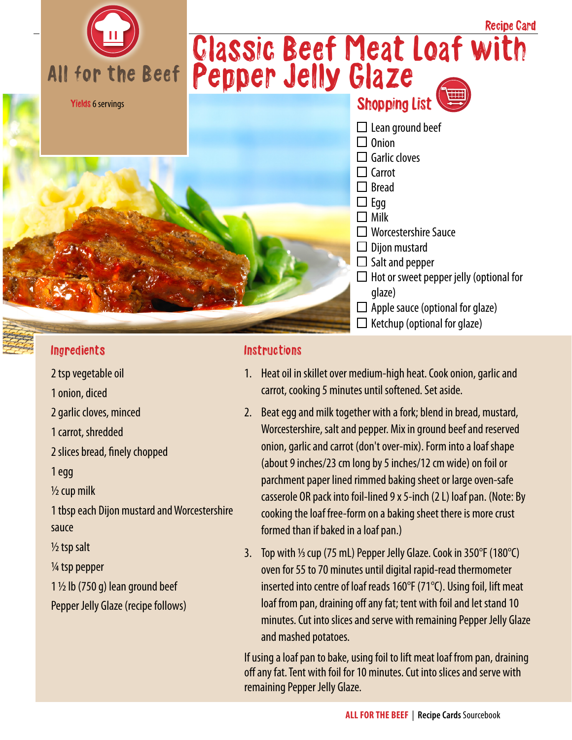

### Ingredients

- 2 tsp vegetable oil
- 1 onion, diced
- 2 garlic cloves, minced
- 1 carrot, shredded
- 2 slices bread, finely chopped

1 egg

 $\frac{1}{2}$  cup milk

1 tbsp each Dijon mustard and Worcestershire sauce

 $\frac{1}{2}$  tsp salt

¼ tsp pepper

 $1\frac{1}{2}$  lb (750 g) lean ground beef

Pepper Jelly Glaze (recipe follows)

### **Instructions**

- 1. Heat oil in skillet over medium-high heat. Cook onion, garlic and carrot, cooking 5 minutes until softened. Set aside.
- 2. Beat egg and milk together with a fork; blend in bread, mustard, Worcestershire, salt and pepper. Mix in ground beef and reserved onion, garlic and carrot (don't over-mix). Form into a loaf shape (about 9 inches/23 cm long by 5 inches/12 cm wide) on foil or parchment paper lined rimmed baking sheet or large oven-safe casserole OR pack into foil-lined 9 x 5-inch (2 L) loaf pan. (Note: By cooking the loaf free-form on a baking sheet there is more crust formed than if baked in a loaf pan.)
- 3. Top with  $\frac{1}{3}$  cup (75 mL) Pepper Jelly Glaze. Cook in 350°F (180°C) oven for 55 to 70 minutes until digital rapid-read thermometer inserted into centre of loaf reads 160°F (71°C). Using foil, lift meat loaf from pan, draining off any fat; tent with foil and let stand 10 minutes. Cut into slices and serve with remaining Pepper Jelly Glaze and mashed potatoes.

If using a loaf pan to bake, using foil to lift meat loaf from pan, draining off any fat. Tent with foil for 10 minutes. Cut into slices and serve with remaining Pepper Jelly Glaze.